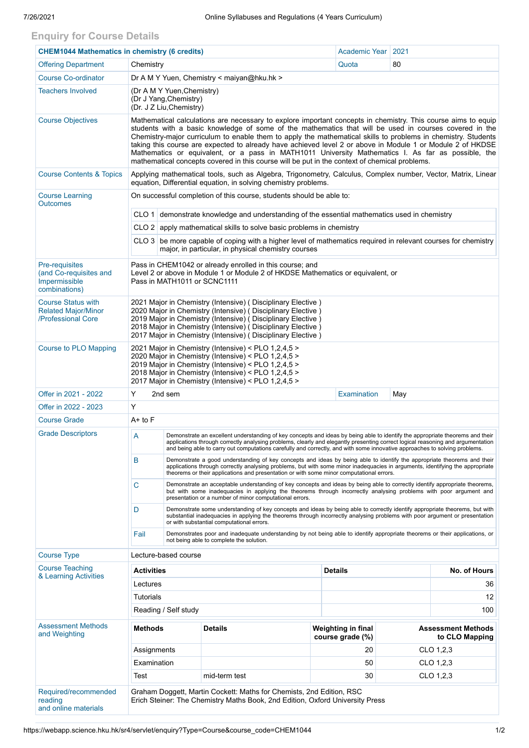## **Enquiry for Course Details**

| <b>CHEM1044 Mathematics in chemistry (6 credits)</b>                          |                                                                                                                                                                                                                                                                                                                                                                                                                                                                                                                                                                                                                                                               |                                                                                                                                                                                                                                                                                                                                                                                                |                |                 | Academic Year                                 | 2021      |                                             |  |
|-------------------------------------------------------------------------------|---------------------------------------------------------------------------------------------------------------------------------------------------------------------------------------------------------------------------------------------------------------------------------------------------------------------------------------------------------------------------------------------------------------------------------------------------------------------------------------------------------------------------------------------------------------------------------------------------------------------------------------------------------------|------------------------------------------------------------------------------------------------------------------------------------------------------------------------------------------------------------------------------------------------------------------------------------------------------------------------------------------------------------------------------------------------|----------------|-----------------|-----------------------------------------------|-----------|---------------------------------------------|--|
| <b>Offering Department</b>                                                    | Chemistry                                                                                                                                                                                                                                                                                                                                                                                                                                                                                                                                                                                                                                                     |                                                                                                                                                                                                                                                                                                                                                                                                |                |                 | Quota                                         | 80        |                                             |  |
| <b>Course Co-ordinator</b>                                                    | Dr A M Y Yuen, Chemistry < maiyan@hku.hk >                                                                                                                                                                                                                                                                                                                                                                                                                                                                                                                                                                                                                    |                                                                                                                                                                                                                                                                                                                                                                                                |                |                 |                                               |           |                                             |  |
| <b>Teachers Involved</b>                                                      | (Dr A M Y Yuen, Chemistry)<br>(Dr J Yang, Chemistry)<br>(Dr. J Z Liu, Chemistry)                                                                                                                                                                                                                                                                                                                                                                                                                                                                                                                                                                              |                                                                                                                                                                                                                                                                                                                                                                                                |                |                 |                                               |           |                                             |  |
| <b>Course Objectives</b>                                                      | Mathematical calculations are necessary to explore important concepts in chemistry. This course aims to equip<br>students with a basic knowledge of some of the mathematics that will be used in courses covered in the<br>Chemistry-major curriculum to enable them to apply the mathematical skills to problems in chemistry. Students<br>taking this course are expected to already have achieved level 2 or above in Module 1 or Module 2 of HKDSE<br>Mathematics or equivalent, or a pass in MATH1011 University Mathematics I. As far as possible, the<br>mathematical concepts covered in this course will be put in the context of chemical problems. |                                                                                                                                                                                                                                                                                                                                                                                                |                |                 |                                               |           |                                             |  |
| <b>Course Contents &amp; Topics</b>                                           | Applying mathematical tools, such as Algebra, Trigonometry, Calculus, Complex number, Vector, Matrix, Linear<br>equation, Differential equation, in solving chemistry problems.                                                                                                                                                                                                                                                                                                                                                                                                                                                                               |                                                                                                                                                                                                                                                                                                                                                                                                |                |                 |                                               |           |                                             |  |
| <b>Course Learning</b><br><b>Outcomes</b>                                     | On successful completion of this course, students should be able to:                                                                                                                                                                                                                                                                                                                                                                                                                                                                                                                                                                                          |                                                                                                                                                                                                                                                                                                                                                                                                |                |                 |                                               |           |                                             |  |
|                                                                               | CLO 1 demonstrate knowledge and understanding of the essential mathematics used in chemistry                                                                                                                                                                                                                                                                                                                                                                                                                                                                                                                                                                  |                                                                                                                                                                                                                                                                                                                                                                                                |                |                 |                                               |           |                                             |  |
|                                                                               | CLO 2 apply mathematical skills to solve basic problems in chemistry                                                                                                                                                                                                                                                                                                                                                                                                                                                                                                                                                                                          |                                                                                                                                                                                                                                                                                                                                                                                                |                |                 |                                               |           |                                             |  |
|                                                                               | $CLO3$ be more capable of coping with a higher level of mathematics required in relevant courses for chemistry<br>major, in particular, in physical chemistry courses                                                                                                                                                                                                                                                                                                                                                                                                                                                                                         |                                                                                                                                                                                                                                                                                                                                                                                                |                |                 |                                               |           |                                             |  |
| Pre-requisites<br>(and Co-requisites and<br>Impermissible<br>combinations)    | Pass in CHEM1042 or already enrolled in this course; and<br>Level 2 or above in Module 1 or Module 2 of HKDSE Mathematics or equivalent, or<br>Pass in MATH1011 or SCNC1111                                                                                                                                                                                                                                                                                                                                                                                                                                                                                   |                                                                                                                                                                                                                                                                                                                                                                                                |                |                 |                                               |           |                                             |  |
| <b>Course Status with</b><br><b>Related Major/Minor</b><br>/Professional Core | 2021 Major in Chemistry (Intensive) (Disciplinary Elective)<br>2020 Major in Chemistry (Intensive) ( Disciplinary Elective )<br>2019 Major in Chemistry (Intensive) (Disciplinary Elective)<br>2018 Major in Chemistry (Intensive) (Disciplinary Elective)<br>2017 Major in Chemistry (Intensive) (Disciplinary Elective)                                                                                                                                                                                                                                                                                                                                     |                                                                                                                                                                                                                                                                                                                                                                                                |                |                 |                                               |           |                                             |  |
| <b>Course to PLO Mapping</b>                                                  | 2021 Major in Chemistry (Intensive) < PLO 1,2,4,5 ><br>2020 Major in Chemistry (Intensive) < PLO 1,2,4,5 ><br>2019 Major in Chemistry (Intensive) < PLO 1,2,4,5 ><br>2018 Major in Chemistry (Intensive) < PLO 1,2,4,5 ><br>2017 Major in Chemistry (Intensive) < PLO 1,2,4,5 >                                                                                                                                                                                                                                                                                                                                                                               |                                                                                                                                                                                                                                                                                                                                                                                                |                |                 |                                               |           |                                             |  |
| Offer in 2021 - 2022                                                          | Y<br>2nd sem                                                                                                                                                                                                                                                                                                                                                                                                                                                                                                                                                                                                                                                  |                                                                                                                                                                                                                                                                                                                                                                                                |                |                 | <b>Examination</b>                            | May       |                                             |  |
| Offer in 2022 - 2023                                                          | Y                                                                                                                                                                                                                                                                                                                                                                                                                                                                                                                                                                                                                                                             |                                                                                                                                                                                                                                                                                                                                                                                                |                |                 |                                               |           |                                             |  |
| <b>Course Grade</b>                                                           | $A+$ to $F$                                                                                                                                                                                                                                                                                                                                                                                                                                                                                                                                                                                                                                                   |                                                                                                                                                                                                                                                                                                                                                                                                |                |                 |                                               |           |                                             |  |
| <b>Grade Descriptors</b>                                                      | A                                                                                                                                                                                                                                                                                                                                                                                                                                                                                                                                                                                                                                                             | Demonstrate an excellent understanding of key concepts and ideas by being able to identify the appropriate theorems and their<br>applications through correctly analysing problems, clearly and elegantly presenting correct logical reasoning and argumentation<br>and being able to carry out computations carefully and correctly, and with some innovative approaches to solving problems. |                |                 |                                               |           |                                             |  |
|                                                                               | B                                                                                                                                                                                                                                                                                                                                                                                                                                                                                                                                                                                                                                                             | Demonstrate a good understanding of key concepts and ideas by being able to identify the appropriate theorems and their<br>applications through correctly analysing problems, but with some minor inadequacies in arguments, identifying the appropriate<br>theorems or their applications and presentation or with some minor computational errors.                                           |                |                 |                                               |           |                                             |  |
|                                                                               | C                                                                                                                                                                                                                                                                                                                                                                                                                                                                                                                                                                                                                                                             | Demonstrate an acceptable understanding of key concepts and ideas by being able to correctly identify appropriate theorems,<br>but with some inadequacies in applying the theorems through incorrectly analysing problems with poor argument and<br>presentation or a number of minor computational errors.                                                                                    |                |                 |                                               |           |                                             |  |
|                                                                               | D                                                                                                                                                                                                                                                                                                                                                                                                                                                                                                                                                                                                                                                             | Demonstrate some understanding of key concepts and ideas by being able to correctly identify appropriate theorems, but with<br>substantial inadequacies in applying the theorems through incorrectly analysing problems with poor argument or presentation<br>or with substantial computational errors.                                                                                        |                |                 |                                               |           |                                             |  |
|                                                                               | Fail<br>Demonstrates poor and inadequate understanding by not being able to identify appropriate theorems or their applications, or<br>not being able to complete the solution.                                                                                                                                                                                                                                                                                                                                                                                                                                                                               |                                                                                                                                                                                                                                                                                                                                                                                                |                |                 |                                               |           |                                             |  |
| <b>Course Type</b>                                                            | Lecture-based course                                                                                                                                                                                                                                                                                                                                                                                                                                                                                                                                                                                                                                          |                                                                                                                                                                                                                                                                                                                                                                                                |                |                 |                                               |           |                                             |  |
| <b>Course Teaching</b><br>& Learning Activities                               | Activities                                                                                                                                                                                                                                                                                                                                                                                                                                                                                                                                                                                                                                                    |                                                                                                                                                                                                                                                                                                                                                                                                |                |                 | <b>Details</b><br>No. of Hours                |           |                                             |  |
|                                                                               | Lectures                                                                                                                                                                                                                                                                                                                                                                                                                                                                                                                                                                                                                                                      |                                                                                                                                                                                                                                                                                                                                                                                                |                |                 | 36                                            |           |                                             |  |
|                                                                               | Tutorials                                                                                                                                                                                                                                                                                                                                                                                                                                                                                                                                                                                                                                                     |                                                                                                                                                                                                                                                                                                                                                                                                |                |                 |                                               |           | 12                                          |  |
|                                                                               | Reading / Self study                                                                                                                                                                                                                                                                                                                                                                                                                                                                                                                                                                                                                                          |                                                                                                                                                                                                                                                                                                                                                                                                |                |                 |                                               | 100       |                                             |  |
| <b>Assessment Methods</b><br>and Weighting                                    | <b>Methods</b>                                                                                                                                                                                                                                                                                                                                                                                                                                                                                                                                                                                                                                                |                                                                                                                                                                                                                                                                                                                                                                                                | <b>Details</b> |                 | <b>Weighting in final</b><br>course grade (%) |           | <b>Assessment Methods</b><br>to CLO Mapping |  |
|                                                                               | Assignments                                                                                                                                                                                                                                                                                                                                                                                                                                                                                                                                                                                                                                                   |                                                                                                                                                                                                                                                                                                                                                                                                |                |                 |                                               | CLO 1,2,3 |                                             |  |
|                                                                               | Examination                                                                                                                                                                                                                                                                                                                                                                                                                                                                                                                                                                                                                                                   |                                                                                                                                                                                                                                                                                                                                                                                                |                | 50<br>CLO 1,2,3 |                                               |           |                                             |  |
|                                                                               | Test                                                                                                                                                                                                                                                                                                                                                                                                                                                                                                                                                                                                                                                          |                                                                                                                                                                                                                                                                                                                                                                                                | mid-term test  |                 | 30<br>CLO 1,2,3                               |           |                                             |  |
| Required/recommended<br>reading<br>and online materials                       | Graham Doggett, Martin Cockett: Maths for Chemists, 2nd Edition, RSC<br>Erich Steiner: The Chemistry Maths Book, 2nd Edition, Oxford University Press                                                                                                                                                                                                                                                                                                                                                                                                                                                                                                         |                                                                                                                                                                                                                                                                                                                                                                                                |                |                 |                                               |           |                                             |  |